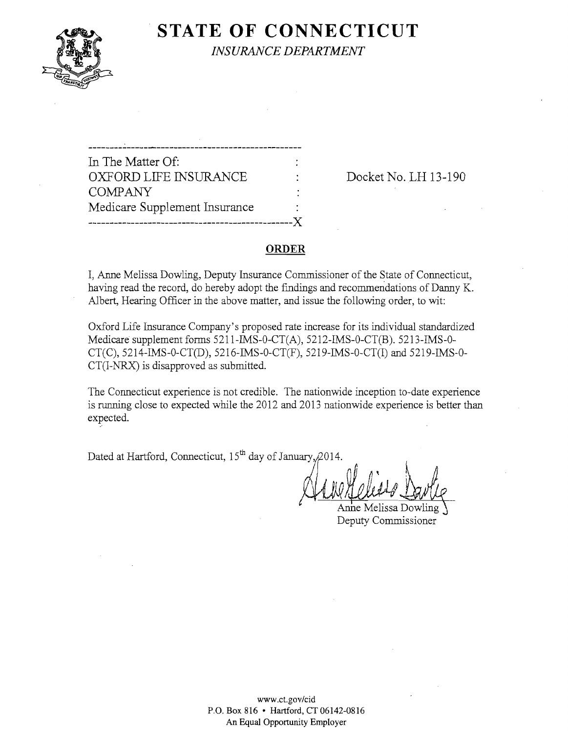

**STATE OF CONNECTICUT** *INSURANCE DEPARTMENT* 

In The Matter Of: OXFORD LIFE INSURANCE : Docket No. LH 13-190 COMPANY Medicare Supplement Insurance ------------------------------------------------)(

#### **ORDER**

I, Anne Melissa Dowling, Deputy Insurance Commissioner of the State of Connecticut, having read the record, do hereby adopt the fmdings and recommendations of Danny K. Albert, Hearing Officer in the above matter, and issue the following order, to wit:

Oxford Life Insurance Company's proposed rate increase for its individual standardized Medicare supplement forms 5211-IMS-0-CT(A), 5212-IMS-0-CT(B). 5213-IMS-0 CT(C), 5214-IMS-0-CT(D), 5216-IMS-0-CT(F), 5219-IMS-0-CT(I) and 5219-IMS-O-CT(I-NRX) is disapproved as submitted.

The Connecticut experience is not credible. The nationwide inception to-date experience is running close to expected while the 2012 and 2013 nationwide experience is better than expected.

Dated at Hartford, Connecticut,  $15<sup>th</sup>$  day of January,  $/2014$ .

Ho no H oliess Nauth

Anne Melissa Do Deputy Commissioner

www.ct.gov/cid P.O. Box 816 • Hartford, CT 06142-0816 An Equal Opportunity Employer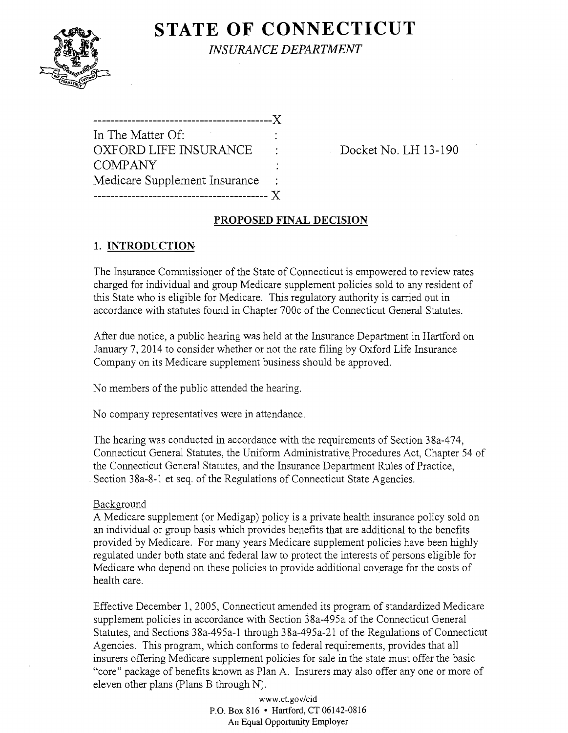# **STATE OF CONNECTICUT**



*INSURANCE DEPARTMENT* 

| ----------                    |  |
|-------------------------------|--|
| In The Matter Of:             |  |
| OXFORD LIFE INSURANCE         |  |
| <b>COMPANY</b>                |  |
| Medicare Supplement Insurance |  |
|                               |  |

Docket No. LH 13-190

# **PROPOSED FINAL DECISION**

# **1. INTRODUCTION·**

The Insurance Commissioner of the State of Connecticut is empowered to review rates charged for individual and group Medicare supplement policies sold to any resident of this State who is eligible for Medicare. This regulatory authority is carried out in accordance with statutes found in Chapter 700c of the Connecticut General Statutes.

After due notice, a public hearing was held at the Insurance Department in Hartford on January 7, 2014 to consider whether or not the rate filing by Oxford Life Insurance Company on its Medicare supplement business should be approved.

No members of the public attended the hearing.

No company representatives were in attendance.

The hearing was conducted in accordance with the requirements of Section 38a-474, Connecticut General Statutes, the Uniform Administrative, Procedures Act, Chapter 54 of the Connecticut General Statutes, and the Insurance Department Rules of Practice, . Section 38a-8-1 et seq. of the Regulations of Connecticut State Agencies.

# Background

A Medicare supplement (or Medigap) policy is a private health insurance policy sold on an individual or group basis which provides benefits that are additional to the benefits provided by Medicare. For many years Medicare supplement policies have been highly regulated under both state and federal law to protect the interests of persons eligible for Medicare who depend on these policies to provide additional coverage for the costs of health care.

Effective December 1, 2005, Connecticut amended its program of standardized Medicare supplement policies in accordance with Section 38a-495a of the Connecticut General Statutes, and Sections 38a-495a-1 through 38a-495a-21 of the Regulations of Connecticut Agencies. This program, which conforms to federal requirements, provides that all insurers offering Medicare supplement policies for sale in the state must offer the basic "core" package of benefits known as Plan A. Insurers may also offer anyone or more of eleven other plans (Plans B through N).

> www.ct.gov/cid P.O. Box 816 • Hartford, CT 06142-0816 An Equal Opportunity Employer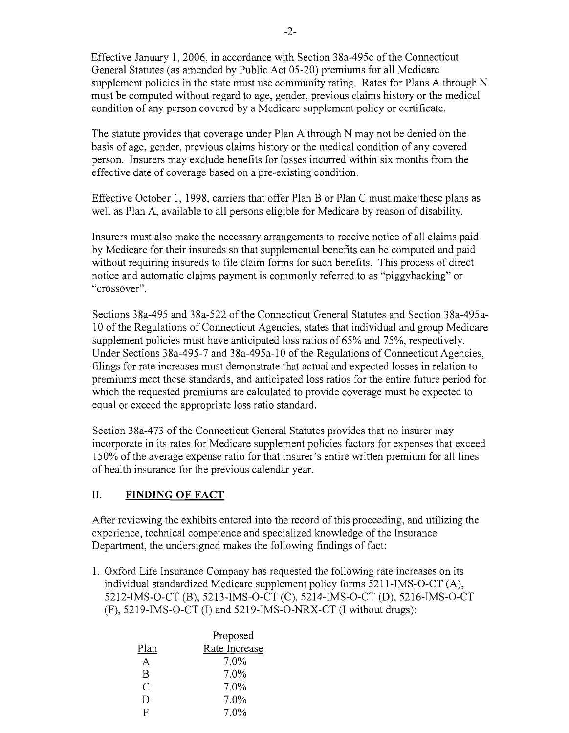Effective January 1,2006, in accordance with Section 38a-495c of the Connecticut General Statutes (as amended by Public Act 05-20) premiums for all Medicare supplement policies in the state must use community rating. Rates for Plans A through N must be computed without regard to age, gender, previous claims history or the medical condition of any person covered by a Medicare supplement policy or certificate.

The statute provides that coverage under Plan A through N may not be denied on the basis of age, gender, previous claims history or the medical condition of any covered person. Insurers may exclude benefits for losses incurred within six months from the effective date of coverage based on a pre-existing condition.

Effective October 1, 1998, carriers that offer Plan B or Plan C must make these plans as well as Plan A, available to all persons eligible for Medicare by reason of disability.

Insurers must also make the necessary arrangements to receive notice of all claims paid by Medicare for their insureds so that supplemental benefits can be computed and paid without requiring insureds to file claim forms for such benefits. This process of direct notice and automatic claims payment is commonly referred to as "piggybacking" or "crossover".

Sections 38a-495 and 38a-522 of the Connecticut General Statutes and Section 38a-495a-10 of the Regulations of Connecticut Agencies, states that individual and group Medicare supplement policies must have anticipated loss ratios of 65% and 75%, respectively. Under Sections 38a-495-7 and 38a-495a-10 of the Regulations of Connecticut Agencies, filings for rate increases must demonstrate that actual and expected losses in relation to premiums meet these standards, and anticipated loss ratios for the entire future period for which the requested premiums are calculated to provide coverage must be expected to equal or exceed the appropriate loss ratio standard.

Section 38a-473 of the Connecticut General Statutes provides that no insurer may incorporate in its rates for Medicare supplement policies factors for expenses that exceed 150% of the average expense ratio for that insurer's entire written premium for all lines of health insurance for the previous calendar year.

#### II. **FINDING OF FACT**

After reviewing the exhibits entered into the record of this proceeding, and utilizing the experience, technical competence and specialized knowledge of the Insurance Department, the undersigned makes the following findings of fact:

1. Oxford Life Insurance Company has requested the following rate increases on its individual standardized Medicare supplement policy forms 5211-IMS-O-CT (A), 5212-IMS-O-CT (B), 5213-IMS-O-CT (C), 5214-IMS-O-CT (D), 5216-IMS-O-CT (F), 5219-IMS-O-CT (1) and 5219-IMS-O-NRX-CT (I without drugs):

|      | Proposed      |  |  |
|------|---------------|--|--|
| Plan | Rate Increase |  |  |
| A    | 7.0%          |  |  |
| R    | $7.0\%$       |  |  |
| C    | $7.0\%$       |  |  |
| Ð    | 7.0%          |  |  |
| н    | 7.0%          |  |  |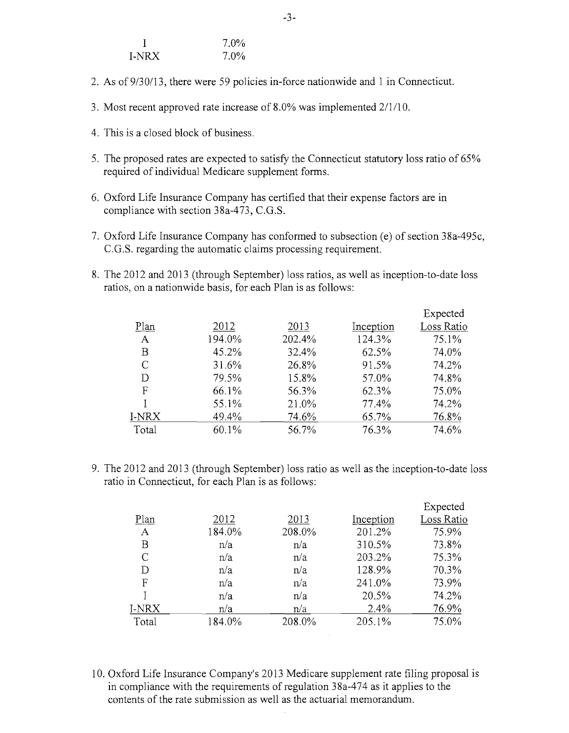|       | $7.0\%$ |
|-------|---------|
| I-NRX | $7.0\%$ |

- 2. As of9/30/13, there were 59 policies in-force nationwide and 1 in Connecticut.
- 3. Most recent approved rate increase of 8.0% was implemented 2/1/1 O.
- 4. This is a closed block of business.
- 5. The proposed rates are expected to satisfy the Connecticut statutory loss ratio of 65% required of individual Medicare supplement forms.
- 6. Oxford Life Insurance Company has certified that their expense factors are in compliance with section 38a-473, C.G.S.
- 7. Oxford Life Insurance Company has conformed to subsection (e) of section 38a-495c, C.G.S. regarding the automatic claims processing requirement.
- 8. The 2012 and 2013 (through September) loss ratios, as well as inception-to-date loss ratios, on a nationwide basis, for each Plan is as follows:

|              |        |        |           | Expected   |
|--------------|--------|--------|-----------|------------|
| Plan         | 2012   | 2013   | Inception | Loss Ratio |
| $\mathbf{A}$ | 194.0% | 202.4% | 124.3%    | 75.1%      |
| B            | 45.2%  | 32.4%  | 62.5%     | 74.0%      |
| C            | 31.6%  | 26.8%  | 91.5%     | 74.2%      |
| D            | 79.5%  | 15.8%  | 57.0%     | 74.8%      |
| F            | 66.1%  | 56.3%  | 62.3%     | 75.0%      |
|              | 55.1%  | 21.0%  | 77.4%     | 74.2%      |
| I-NRX        | 49.4%  | 74.6%  | 65.7%     | 76.8%      |
| Total        | 60.1%  | 56.7%  | 76.3%     | 74.6%      |

9. The 2012 and 2013 (through September) loss ratio as well as the inception-to-date loss ratio in Connecticut, for each Plan is as follows:

|              |        |        |           | Expected   |
|--------------|--------|--------|-----------|------------|
| Plan         | 2012   | 2013   | Inception | Loss Ratio |
| $\mathbf{A}$ | 184.0% | 208.0% | 201.2%    | 75.9%      |
| Β            | n/a    | n/a    | 310.5%    | 73.8%      |
| C            | n/a    | n/a    | 203.2%    | 75.3%      |
| D            | n/a    | n/a    | 128.9%    | 70.3%      |
| F            | n/a    | n/a    | 241.0%    | 73.9%      |
|              | n/a    | n/a    | 20.5%     | 74.2%      |
| I-NRX        | n/a    | n/a    | 2.4%      | 76.9%      |
| Total        | 184.0% | 208.0% | 205.1%    | 75.0%      |
|              |        |        |           |            |

 $\sim 10^{-1}$ 

10. Oxford Life Insurance Company's 2013 Medicare supplement rate filing proposal is in compliance with the requirements of regulation 38a-474 as it applies to the contents of the rate submission as well as the actuarial memorandum.